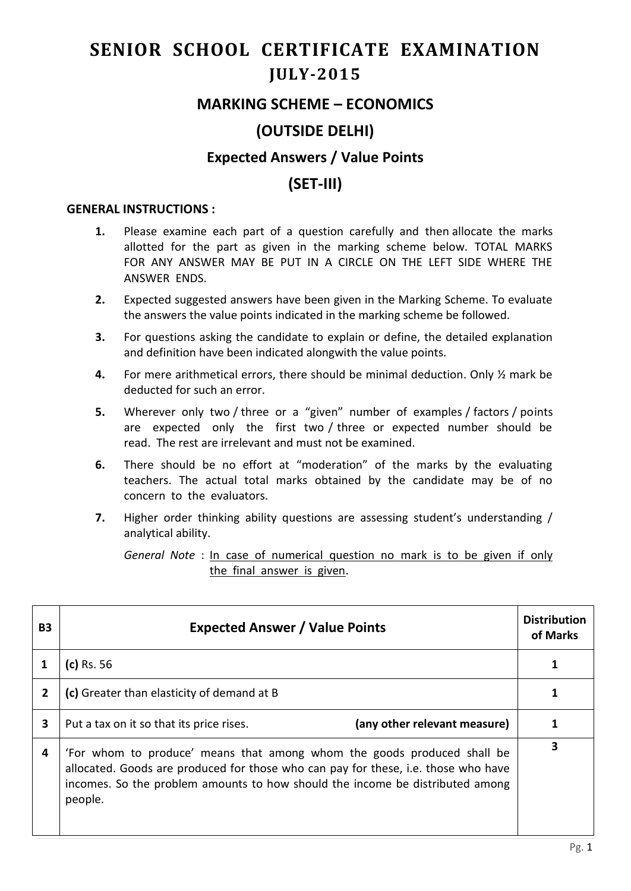# **SENIOR SCHOOL CERTIFICATE EXAMINATION JULY-2015**

### **MARKING SCHEME – ECONOMICS**

# **(OUTSIDE DELHI)**

#### **Expected Answers / Value Points**

# **(SET-III)**

#### **GENERAL INSTRUCTIONS :**

- **1.** Please examine each part of a question carefully and then allocate the marks allotted for the part as given in the marking scheme below. TOTAL MARKS FOR ANY ANSWER MAY BE PUT IN A CIRCLE ON THE LEFT SIDE WHERE THE ANSWER ENDS.
- **2.** Expected suggested answers have been given in the Marking Scheme. To evaluate the answers the value points indicated in the marking scheme be followed.
- **3.** For questions asking the candidate to explain or define, the detailed explanation and definition have been indicated alongwith the value points.
- **4.** For mere arithmetical errors, there should be minimal deduction. Only ½ mark be deducted for such an error.
- **5.** Wherever only two / three or a "given" number of examples / factors / points are expected only the first two / three or expected number should be read. The rest are irrelevant and must not be examined.
- **6.** There should be no effort at "moderation" of the marks by the evaluating teachers. The actual total marks obtained by the candidate may be of no concern to the evaluators.
- **7.** Higher order thinking ability questions are assessing student's understanding / analytical ability.

*General Note* : In case of numerical question no mark is to be given if only the final answer is given.

| <b>B3</b> | <b>Expected Answer / Value Points</b>                                                                                                                                                                                                                     | <b>Distribution</b><br>of Marks |
|-----------|-----------------------------------------------------------------------------------------------------------------------------------------------------------------------------------------------------------------------------------------------------------|---------------------------------|
|           | $(c)$ Rs. 56                                                                                                                                                                                                                                              | 1                               |
| 2         | (c) Greater than elasticity of demand at B                                                                                                                                                                                                                |                                 |
| 3         | (any other relevant measure)<br>Put a tax on it so that its price rises.                                                                                                                                                                                  |                                 |
| 4         | 'For whom to produce' means that among whom the goods produced shall be<br>allocated. Goods are produced for those who can pay for these, i.e. those who have<br>incomes. So the problem amounts to how should the income be distributed among<br>people. | 3                               |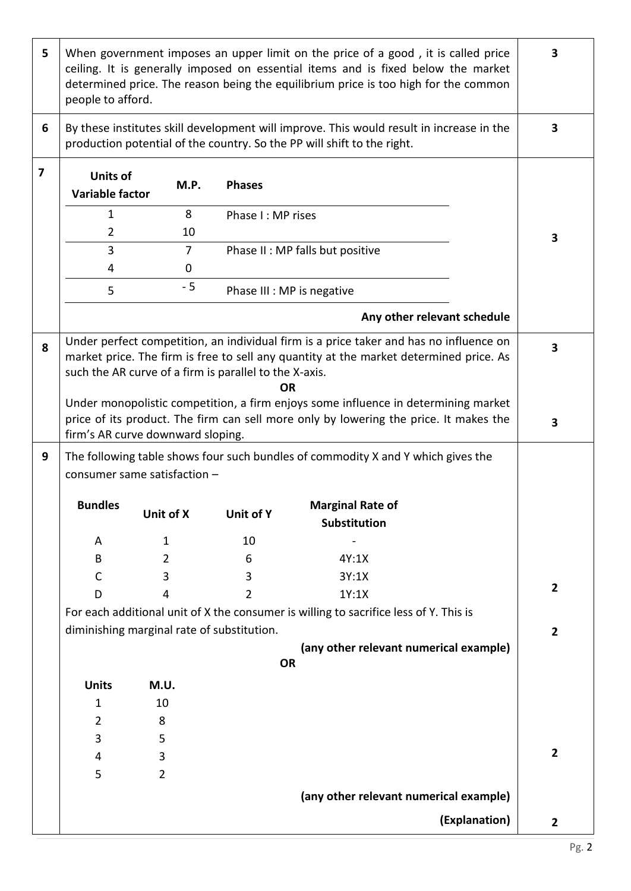| 5 | When government imposes an upper limit on the price of a good, it is called price<br>ceiling. It is generally imposed on essential items and is fixed below the market<br>determined price. The reason being the equilibrium price is too high for the common<br>people to afford. |                                            |                            |                                                                                                                                                                             | $\overline{\mathbf{3}}$ |
|---|------------------------------------------------------------------------------------------------------------------------------------------------------------------------------------------------------------------------------------------------------------------------------------|--------------------------------------------|----------------------------|-----------------------------------------------------------------------------------------------------------------------------------------------------------------------------|-------------------------|
| 6 | By these institutes skill development will improve. This would result in increase in the<br>production potential of the country. So the PP will shift to the right.                                                                                                                |                                            |                            |                                                                                                                                                                             |                         |
| 7 | <b>Units of</b><br><b>Variable factor</b>                                                                                                                                                                                                                                          | M.P.                                       | <b>Phases</b>              |                                                                                                                                                                             |                         |
|   | $\mathbf{1}$                                                                                                                                                                                                                                                                       | 8                                          | Phase I: MP rises          |                                                                                                                                                                             |                         |
|   | $\overline{2}$                                                                                                                                                                                                                                                                     | 10                                         |                            |                                                                                                                                                                             | 3                       |
|   | 3                                                                                                                                                                                                                                                                                  | $\overline{7}$                             |                            | Phase II : MP falls but positive                                                                                                                                            |                         |
|   | 4                                                                                                                                                                                                                                                                                  | 0                                          |                            |                                                                                                                                                                             |                         |
|   | 5                                                                                                                                                                                                                                                                                  | $-5$                                       | Phase III : MP is negative |                                                                                                                                                                             |                         |
|   |                                                                                                                                                                                                                                                                                    |                                            |                            | Any other relevant schedule                                                                                                                                                 |                         |
| 8 | Under perfect competition, an individual firm is a price taker and has no influence on<br>market price. The firm is free to sell any quantity at the market determined price. As<br>such the AR curve of a firm is parallel to the X-axis.<br><b>OR</b>                            |                                            |                            |                                                                                                                                                                             | 3                       |
|   |                                                                                                                                                                                                                                                                                    | firm's AR curve downward sloping.          |                            | Under monopolistic competition, a firm enjoys some influence in determining market<br>price of its product. The firm can sell more only by lowering the price. It makes the | 3                       |
| 9 | The following table shows four such bundles of commodity X and Y which gives the<br>consumer same satisfaction -                                                                                                                                                                   |                                            |                            |                                                                                                                                                                             |                         |
|   | <b>Bundles</b>                                                                                                                                                                                                                                                                     | Unit of X                                  | Unit of Y                  | <b>Marginal Rate of</b><br>Substitution                                                                                                                                     |                         |
|   | A                                                                                                                                                                                                                                                                                  | 1                                          | 10                         |                                                                                                                                                                             |                         |
|   | B                                                                                                                                                                                                                                                                                  | 2                                          | 6                          | 4Y:1X                                                                                                                                                                       |                         |
|   | C                                                                                                                                                                                                                                                                                  | 3                                          | 3                          | 3Y:1X                                                                                                                                                                       |                         |
|   | D                                                                                                                                                                                                                                                                                  | 4                                          | 2                          | 1Y:1X                                                                                                                                                                       | $\overline{2}$          |
|   |                                                                                                                                                                                                                                                                                    |                                            |                            | For each additional unit of X the consumer is willing to sacrifice less of Y. This is                                                                                       |                         |
|   |                                                                                                                                                                                                                                                                                    | diminishing marginal rate of substitution. |                            |                                                                                                                                                                             | $\overline{2}$          |
|   |                                                                                                                                                                                                                                                                                    |                                            |                            | (any other relevant numerical example)                                                                                                                                      |                         |
|   | <b>OR</b>                                                                                                                                                                                                                                                                          |                                            |                            |                                                                                                                                                                             |                         |
|   | <b>Units</b>                                                                                                                                                                                                                                                                       | M.U.                                       |                            |                                                                                                                                                                             |                         |
|   | 1                                                                                                                                                                                                                                                                                  | 10                                         |                            |                                                                                                                                                                             |                         |
|   | $\overline{2}$                                                                                                                                                                                                                                                                     | 8                                          |                            |                                                                                                                                                                             |                         |
|   | 3                                                                                                                                                                                                                                                                                  | 5                                          |                            |                                                                                                                                                                             | $\overline{2}$          |
|   | 4<br>5                                                                                                                                                                                                                                                                             | 3<br>$\overline{2}$                        |                            |                                                                                                                                                                             |                         |
|   |                                                                                                                                                                                                                                                                                    |                                            |                            |                                                                                                                                                                             |                         |
|   | (any other relevant numerical example)                                                                                                                                                                                                                                             |                                            |                            |                                                                                                                                                                             |                         |
|   |                                                                                                                                                                                                                                                                                    |                                            |                            | (Explanation)                                                                                                                                                               | $\overline{2}$          |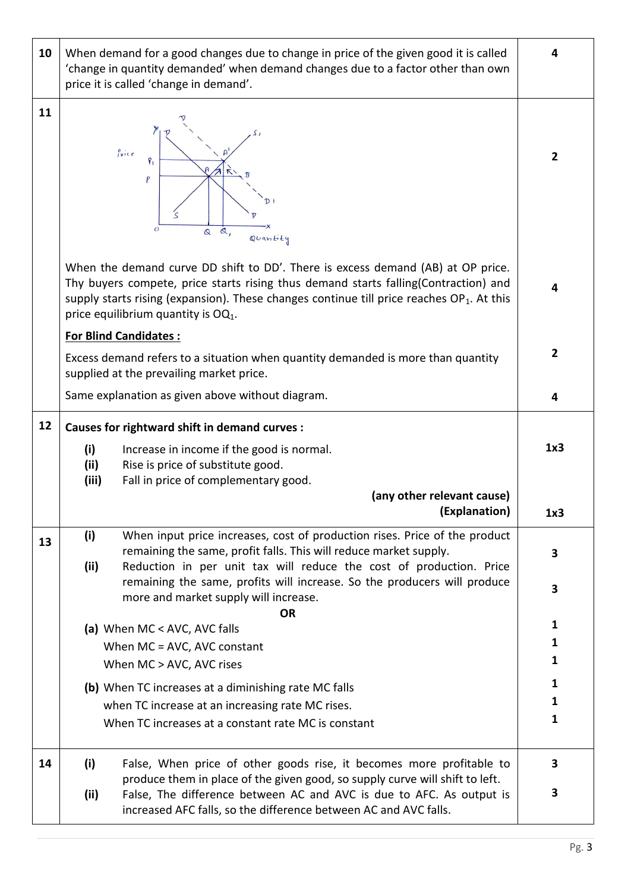| 10 | When demand for a good changes due to change in price of the given good it is called<br>'change in quantity demanded' when demand changes due to a factor other than own<br>price it is called 'change in demand'.                                                                                           |                |  |  |
|----|--------------------------------------------------------------------------------------------------------------------------------------------------------------------------------------------------------------------------------------------------------------------------------------------------------------|----------------|--|--|
| 11 | Price<br>$\tilde{\mathcal{L}}$<br>P<br>$\overline{O}$<br>Q,<br>$\mathbf{\Omega}$<br>Quantity                                                                                                                                                                                                                 |                |  |  |
|    | When the demand curve DD shift to DD'. There is excess demand (AB) at OP price.<br>Thy buyers compete, price starts rising thus demand starts falling(Contraction) and<br>supply starts rising (expansion). These changes continue till price reaches $OP_1$ . At this<br>price equilibrium quantity is OQ1. | 4              |  |  |
|    | <b>For Blind Candidates:</b><br>Excess demand refers to a situation when quantity demanded is more than quantity<br>supplied at the prevailing market price.                                                                                                                                                 | $\overline{2}$ |  |  |
|    | Same explanation as given above without diagram.                                                                                                                                                                                                                                                             | 4              |  |  |
| 12 | <b>Causes for rightward shift in demand curves:</b>                                                                                                                                                                                                                                                          |                |  |  |
|    | (i)<br>Increase in income if the good is normal.<br>(ii)<br>Rise is price of substitute good.<br>(iii)<br>Fall in price of complementary good.                                                                                                                                                               | 1x3            |  |  |
|    | (any other relevant cause)<br>(Explanation)                                                                                                                                                                                                                                                                  | 1x3            |  |  |
| 13 | (i)<br>When input price increases, cost of production rises. Price of the product<br>remaining the same, profit falls. This will reduce market supply.<br>Reduction in per unit tax will reduce the cost of production. Price<br>(ii)                                                                        | 3              |  |  |
|    | remaining the same, profits will increase. So the producers will produce<br>more and market supply will increase.                                                                                                                                                                                            | 3              |  |  |
|    | <b>OR</b><br>(a) When MC < AVC, AVC falls                                                                                                                                                                                                                                                                    | 1              |  |  |
|    | When MC = AVC, AVC constant                                                                                                                                                                                                                                                                                  | 1              |  |  |
|    | When MC > AVC, AVC rises                                                                                                                                                                                                                                                                                     | 1              |  |  |
|    | (b) When TC increases at a diminishing rate MC falls                                                                                                                                                                                                                                                         | 1<br>1         |  |  |
|    | when TC increase at an increasing rate MC rises.<br>When TC increases at a constant rate MC is constant                                                                                                                                                                                                      | 1              |  |  |
| 14 | (i)<br>False, When price of other goods rise, it becomes more profitable to                                                                                                                                                                                                                                  | 3              |  |  |
|    | produce them in place of the given good, so supply curve will shift to left.<br>(ii)<br>False, The difference between AC and AVC is due to AFC. As output is<br>increased AFC falls, so the difference between AC and AVC falls.                                                                             | 3              |  |  |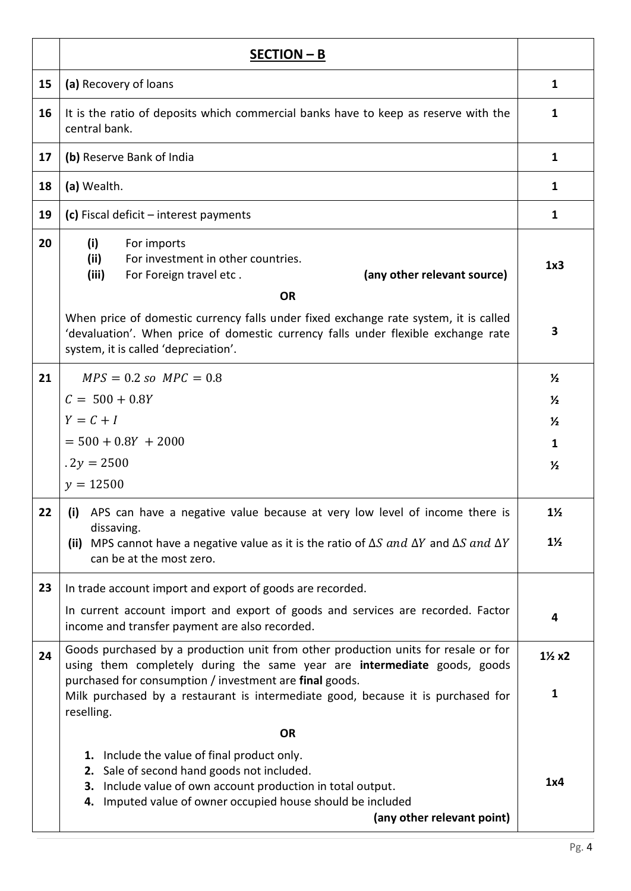|    | SECTION - B                                                                                                                                                                                                               |                                  |  |
|----|---------------------------------------------------------------------------------------------------------------------------------------------------------------------------------------------------------------------------|----------------------------------|--|
| 15 | (a) Recovery of loans                                                                                                                                                                                                     | $\mathbf{1}$                     |  |
| 16 | It is the ratio of deposits which commercial banks have to keep as reserve with the<br>central bank.                                                                                                                      | 1                                |  |
| 17 | (b) Reserve Bank of India                                                                                                                                                                                                 | $\mathbf{1}$                     |  |
| 18 | (a) Wealth.                                                                                                                                                                                                               | $\mathbf{1}$                     |  |
| 19 | (c) Fiscal deficit $-$ interest payments                                                                                                                                                                                  | $\mathbf{1}$                     |  |
| 20 | (i)<br>For imports<br>For investment in other countries.<br>(ii)<br>(iii)<br>(any other relevant source)<br>For Foreign travel etc.                                                                                       | 1x3                              |  |
|    | <b>OR</b>                                                                                                                                                                                                                 |                                  |  |
|    | When price of domestic currency falls under fixed exchange rate system, it is called<br>'devaluation'. When price of domestic currency falls under flexible exchange rate<br>system, it is called 'depreciation'.         | 3                                |  |
| 21 | $MPS = 0.2 so MPC = 0.8$                                                                                                                                                                                                  | $\frac{1}{2}$                    |  |
|    | $C = 500 + 0.8Y$                                                                                                                                                                                                          | $\frac{1}{2}$                    |  |
|    | $Y = C + I$                                                                                                                                                                                                               | $\frac{1}{2}$                    |  |
|    | $= 500 + 0.8Y + 2000$                                                                                                                                                                                                     | $\mathbf{1}$                     |  |
|    | $.2y = 2500$                                                                                                                                                                                                              | $\frac{1}{2}$                    |  |
|    | $y = 12500$                                                                                                                                                                                                               |                                  |  |
| 22 | (i) APS can have a negative value because at very low level of income there is                                                                                                                                            | $1\frac{1}{2}$                   |  |
|    | dissaving.<br>MPS cannot have a negative value as it is the ratio of $\Delta S$ and $\Delta Y$ and $\Delta S$ and $\Delta Y$<br>(ii)<br>can be at the most zero.                                                          | $1\frac{1}{2}$                   |  |
| 23 | In trade account import and export of goods are recorded.                                                                                                                                                                 |                                  |  |
|    | In current account import and export of goods and services are recorded. Factor<br>income and transfer payment are also recorded.                                                                                         | 4                                |  |
| 24 | Goods purchased by a production unit from other production units for resale or for<br>using them completely during the same year are intermediate goods, goods<br>purchased for consumption / investment are final goods. | $1\frac{1}{2}x2$<br>$\mathbf{1}$ |  |
|    | Milk purchased by a restaurant is intermediate good, because it is purchased for<br>reselling.                                                                                                                            |                                  |  |
|    | <b>OR</b>                                                                                                                                                                                                                 |                                  |  |
|    | 1. Include the value of final product only.                                                                                                                                                                               |                                  |  |
|    | 2. Sale of second hand goods not included.<br>3. Include value of own account production in total output.                                                                                                                 | 1x4                              |  |
|    | 4. Imputed value of owner occupied house should be included                                                                                                                                                               |                                  |  |
|    | (any other relevant point)                                                                                                                                                                                                |                                  |  |